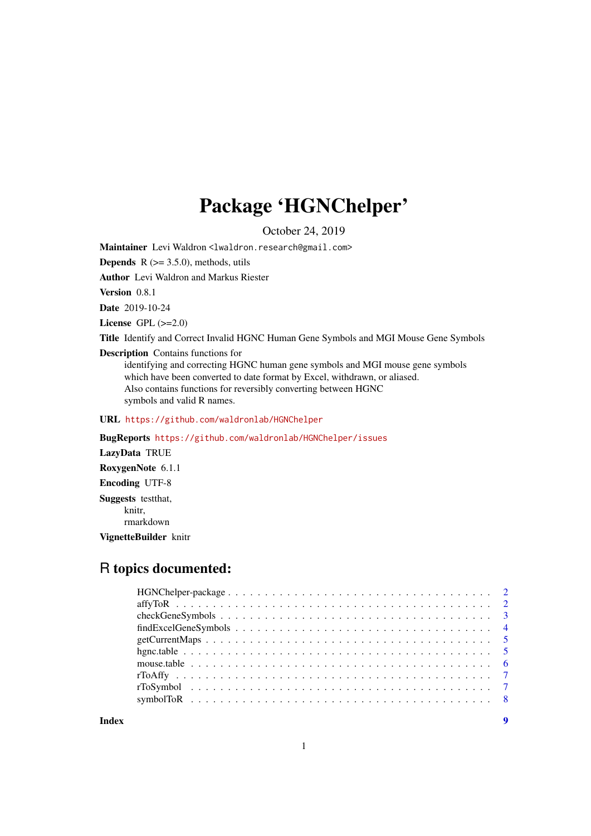## Package 'HGNChelper'

October 24, 2019

Maintainer Levi Waldron <lwaldron.research@gmail.com>

**Depends** R  $(>= 3.5.0)$ , methods, utils

Author Levi Waldron and Markus Riester

Version 0.8.1

Date 2019-10-24

License GPL  $(>=2.0)$ 

Title Identify and Correct Invalid HGNC Human Gene Symbols and MGI Mouse Gene Symbols

Description Contains functions for

identifying and correcting HGNC human gene symbols and MGI mouse gene symbols which have been converted to date format by Excel, withdrawn, or aliased. Also contains functions for reversibly converting between HGNC symbols and valid R names.

URL <https://github.com/waldronlab/HGNChelper>

BugReports <https://github.com/waldronlab/HGNChelper/issues> LazyData TRUE RoxygenNote 6.1.1 Encoding UTF-8 Suggests testthat, knitr, rmarkdown VignetteBuilder knitr

## R topics documented:

**Index** [9](#page-8-0)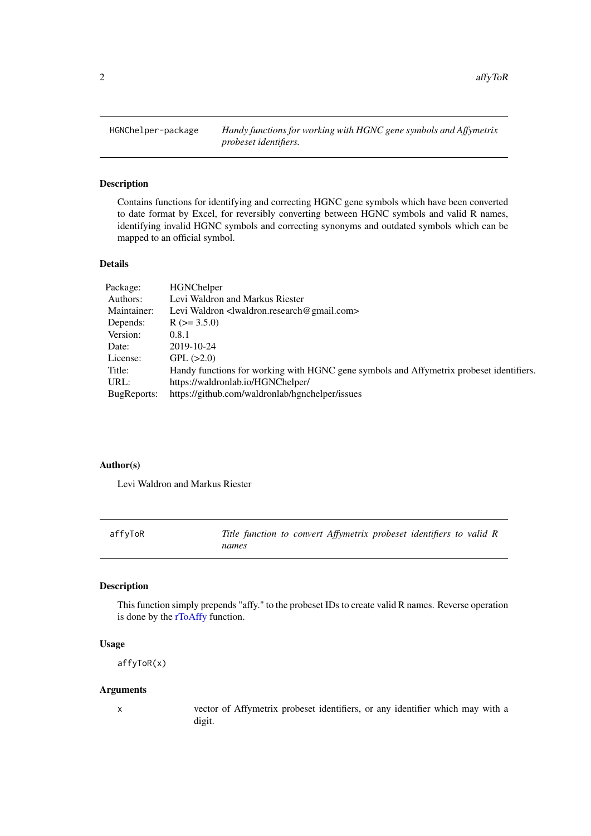<span id="page-1-0"></span>

## Description

Contains functions for identifying and correcting HGNC gene symbols which have been converted to date format by Excel, for reversibly converting between HGNC symbols and valid R names, identifying invalid HGNC symbols and correcting synonyms and outdated symbols which can be mapped to an official symbol.

#### Details

| Package:    | <b>HGNChelper</b>                                                                       |
|-------------|-----------------------------------------------------------------------------------------|
| Authors:    | Levi Waldron and Markus Riester                                                         |
| Maintainer: | Levi Waldron <lwaldron.research@gmail.com></lwaldron.research@gmail.com>                |
| Depends:    | $R$ ( $>=$ 3.5.0)                                                                       |
| Version:    | 0.8.1                                                                                   |
| Date:       | 2019-10-24                                                                              |
| License:    | GPL (>2.0)                                                                              |
| Title:      | Handy functions for working with HGNC gene symbols and Affymetrix probeset identifiers. |
| URL:        | https://waldronlab.io/HGNChelper/                                                       |
| BugReports: | https://github.com/waldronlab/hgnchelper/issues                                         |
|             |                                                                                         |

## Author(s)

Levi Waldron and Markus Riester

<span id="page-1-1"></span>affyToR *Title function to convert Affymetrix probeset identifiers to valid R names*

### Description

This function simply prepends "affy." to the probeset IDs to create valid R names. Reverse operation is done by the [rToAffy](#page-6-1) function.

#### Usage

affyToR(x)

#### Arguments

x vector of Affymetrix probeset identifiers, or any identifier which may with a digit.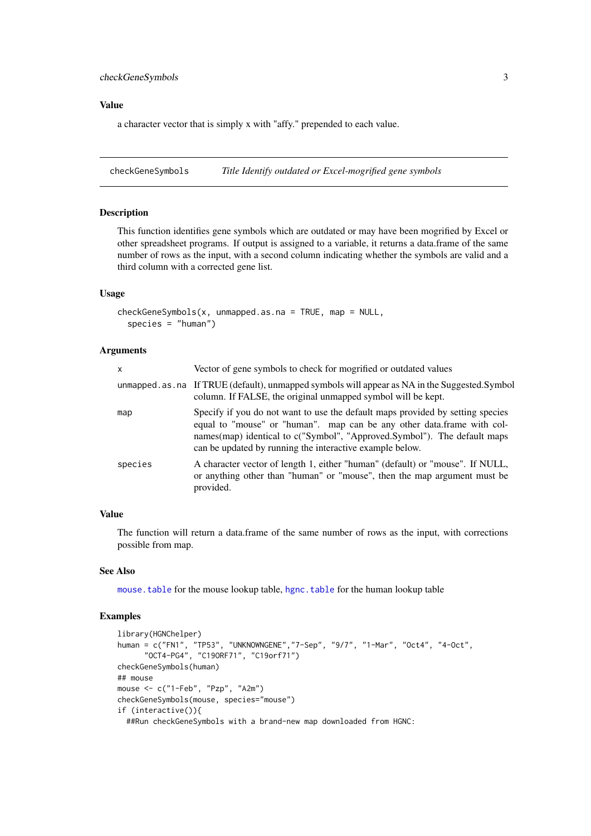#### <span id="page-2-0"></span>checkGeneSymbols 3

## Value

a character vector that is simply x with "affy." prepended to each value.

checkGeneSymbols *Title Identify outdated or Excel-mogrified gene symbols*

## Description

This function identifies gene symbols which are outdated or may have been mogrified by Excel or other spreadsheet programs. If output is assigned to a variable, it returns a data.frame of the same number of rows as the input, with a second column indicating whether the symbols are valid and a third column with a corrected gene list.

#### Usage

```
checkGenesymbols(x, unmapped.as.na = TRUE, map = NULL.species = "human")
```
#### Arguments

| $\mathsf{x}$ | Vector of gene symbols to check for mogrified or outdated values                                                                                                                                                                                                                                 |
|--------------|--------------------------------------------------------------------------------------------------------------------------------------------------------------------------------------------------------------------------------------------------------------------------------------------------|
|              | unmapped.as.na If TRUE (default), unmapped symbols will appear as NA in the Suggested.Symbol<br>column. If FALSE, the original unmapped symbol will be kept.                                                                                                                                     |
| map          | Specify if you do not want to use the default maps provided by setting species<br>equal to "mouse" or "human". map can be any other data.frame with col-<br>names(map) identical to c("Symbol", "Approved.Symbol"). The default maps<br>can be updated by running the interactive example below. |
| species      | A character vector of length 1, either "human" (default) or "mouse". If NULL,<br>or anything other than "human" or "mouse", then the map argument must be<br>provided.                                                                                                                           |

#### Value

The function will return a data.frame of the same number of rows as the input, with corrections possible from map.

#### See Also

[mouse.table](#page-5-1) for the mouse lookup table, [hgnc.table](#page-4-1) for the human lookup table

## Examples

```
library(HGNChelper)
human = c("FN1", "TP53", "UNKNOWNGENE","7-Sep", "9/7", "1-Mar", "Oct4", "4-Oct",
      "OCT4-PG4", "C19ORF71", "C19orf71")
checkGeneSymbols(human)
## mouse
mouse <- c("1-Feb", "Pzp", "A2m")
checkGeneSymbols(mouse, species="mouse")
if (interactive()){
  ##Run checkGeneSymbols with a brand-new map downloaded from HGNC:
```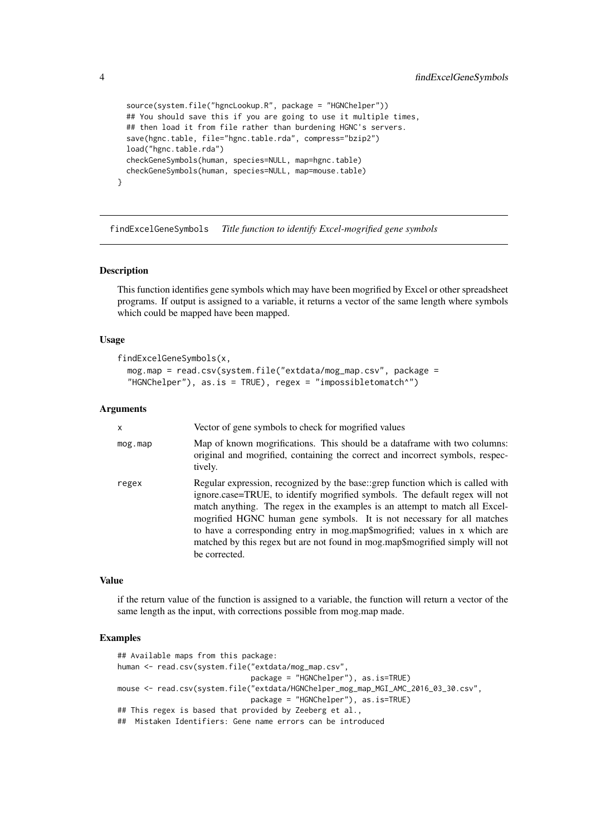```
source(system.file("hgncLookup.R", package = "HGNChelper"))
## You should save this if you are going to use it multiple times,
## then load it from file rather than burdening HGNC's servers.
save(hgnc.table, file="hgnc.table.rda", compress="bzip2")
load("hgnc.table.rda")
checkGeneSymbols(human, species=NULL, map=hgnc.table)
checkGeneSymbols(human, species=NULL, map=mouse.table)
```
findExcelGeneSymbols *Title function to identify Excel-mogrified gene symbols*

#### Description

}

This function identifies gene symbols which may have been mogrified by Excel or other spreadsheet programs. If output is assigned to a variable, it returns a vector of the same length where symbols which could be mapped have been mapped.

#### Usage

```
findExcelGeneSymbols(x,
 mog.map = read.csv(system.file("extdata/mog_map.csv", package =
  "HGNChelper"), as.is = TRUE), regex = "impossibletomatch^")
```
#### Arguments

| X             | Vector of gene symbols to check for mogrified values                                                                                                                                                                                                                                                                                                                                                                                                                                                   |
|---------------|--------------------------------------------------------------------------------------------------------------------------------------------------------------------------------------------------------------------------------------------------------------------------------------------------------------------------------------------------------------------------------------------------------------------------------------------------------------------------------------------------------|
| $mog$ . $map$ | Map of known mogrifications. This should be a dataframe with two columns:<br>original and mogrified, containing the correct and incorrect symbols, respec-<br>tively.                                                                                                                                                                                                                                                                                                                                  |
| regex         | Regular expression, recognized by the base: grep function which is called with<br>ignore.case=TRUE, to identify mogrified symbols. The default regex will not<br>match anything. The regex in the examples is an attempt to match all Excel-<br>mogrified HGNC human gene symbols. It is not necessary for all matches<br>to have a corresponding entry in mog.map\$mogrified; values in x which are<br>matched by this regex but are not found in mog.map\$mogrified simply will not<br>be corrected. |

## Value

if the return value of the function is assigned to a variable, the function will return a vector of the same length as the input, with corrections possible from mog.map made.

#### Examples

```
## Available maps from this package:
human <- read.csv(system.file("extdata/mog_map.csv",
                              package = "HGNChelper"), as.is=TRUE)
mouse <- read.csv(system.file("extdata/HGNChelper_mog_map_MGI_AMC_2016_03_30.csv",
                              package = "HGNChelper"), as.is=TRUE)
## This regex is based that provided by Zeeberg et al.,
## Mistaken Identifiers: Gene name errors can be introduced
```
<span id="page-3-0"></span>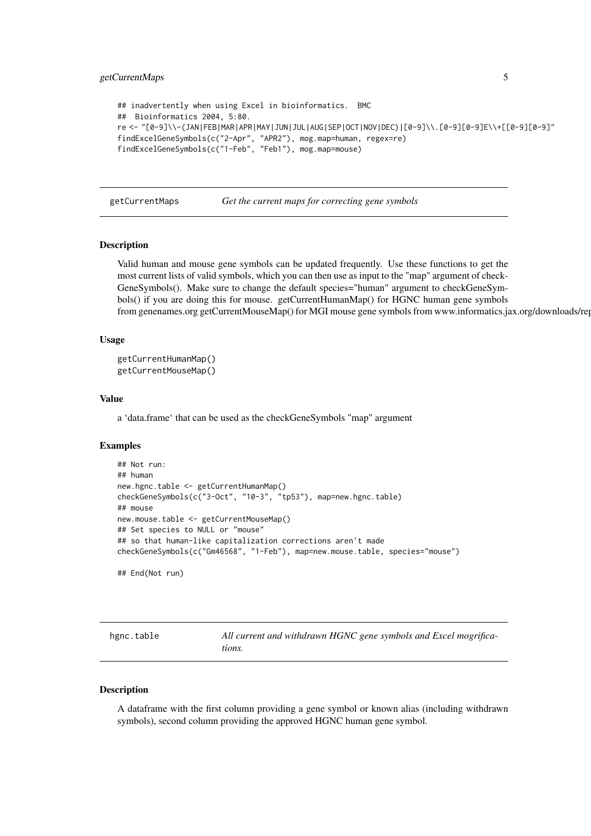#### <span id="page-4-0"></span>getCurrentMaps 5

```
## inadvertently when using Excel in bioinformatics. BMC
## Bioinformatics 2004, 5:80.
re <- "[0-9]\\-(JAN|FEB|MAR|APR|MAY|JUN|JUL|AUG|SEP|OCT|NOV|DEC)|[0-9]\\.[0-9][0-9]E\\+[[0-9][0-9]"
findExcelGeneSymbols(c("2-Apr", "APR2"), mog.map=human, regex=re)
findExcelGeneSymbols(c("1-Feb", "Feb1"), mog.map=mouse)
```
getCurrentMaps *Get the current maps for correcting gene symbols*

#### Description

Valid human and mouse gene symbols can be updated frequently. Use these functions to get the most current lists of valid symbols, which you can then use as input to the "map" argument of check-GeneSymbols(). Make sure to change the default species="human" argument to checkGeneSymbols() if you are doing this for mouse. getCurrentHumanMap() for HGNC human gene symbols from genenames.org getCurrentMouseMap() for MGI mouse gene symbols from www.informatics.jax.org/downloads/rep

#### Usage

```
getCurrentHumanMap()
getCurrentMouseMap()
```
## Value

a 'data.frame' that can be used as the checkGeneSymbols "map" argument

#### Examples

```
## Not run:
## human
new.hgnc.table <- getCurrentHumanMap()
checkGeneSymbols(c("3-Oct", "10-3", "tp53"), map=new.hgnc.table)
## mouse
new.mouse.table <- getCurrentMouseMap()
## Set species to NULL or "mouse"
## so that human-like capitalization corrections aren't made
checkGeneSymbols(c("Gm46568", "1-Feb"), map=new.mouse.table, species="mouse")
## End(Not run)
```
<span id="page-4-1"></span>

| hgnc.table | All current and withdrawn HGNC gene symbols and Excel mogrifica- |
|------------|------------------------------------------------------------------|
|            | tions.                                                           |

#### Description

A dataframe with the first column providing a gene symbol or known alias (including withdrawn symbols), second column providing the approved HGNC human gene symbol.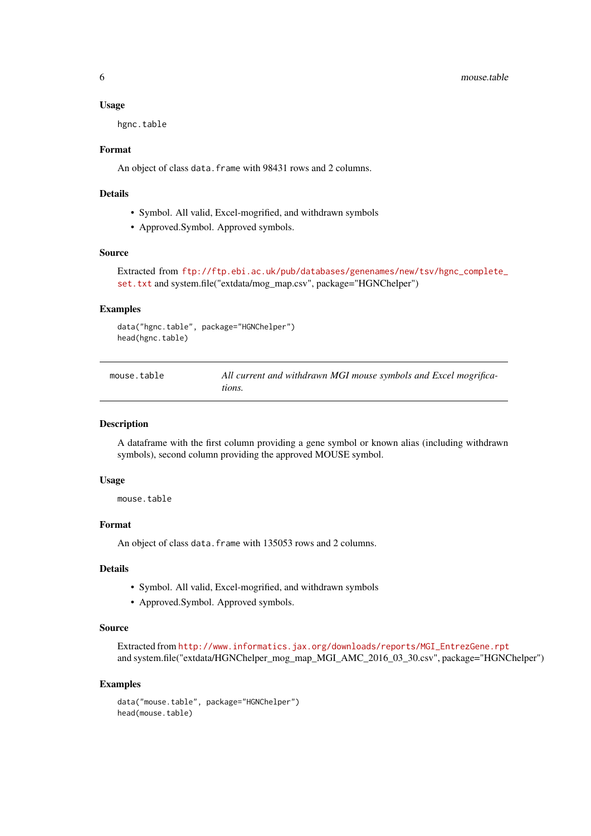#### Usage

hgnc.table

## Format

An object of class data. frame with 98431 rows and 2 columns.

#### Details

- Symbol. All valid, Excel-mogrified, and withdrawn symbols
- Approved.Symbol. Approved symbols.

#### Source

Extracted from [ftp://ftp.ebi.ac.uk/pub/databases/genenames/new/tsv/hgnc\\_complete\\_](ftp://ftp.ebi.ac.uk/pub/databases/genenames/new/tsv/hgnc_complete_set.txt) [set.txt](ftp://ftp.ebi.ac.uk/pub/databases/genenames/new/tsv/hgnc_complete_set.txt) and system.file("extdata/mog\_map.csv", package="HGNChelper")

## Examples

```
data("hgnc.table", package="HGNChelper")
head(hgnc.table)
```
<span id="page-5-1"></span>

| mouse.table | All current and withdrawn MGI mouse symbols and Excel mogrifica- |
|-------------|------------------------------------------------------------------|
|             | tions.                                                           |

#### Description

A dataframe with the first column providing a gene symbol or known alias (including withdrawn symbols), second column providing the approved MOUSE symbol.

#### Usage

mouse.table

## Format

An object of class data. frame with 135053 rows and 2 columns.

#### Details

- Symbol. All valid, Excel-mogrified, and withdrawn symbols
- Approved.Symbol. Approved symbols.

#### Source

```
Extracted from http://www.informatics.jax.org/downloads/reports/MGI_EntrezGene.rpt
and system.file("extdata/HGNChelper_mog_map_MGI_AMC_2016_03_30.csv", package="HGNChelper")
```
#### Examples

```
data("mouse.table", package="HGNChelper")
head(mouse.table)
```
<span id="page-5-0"></span>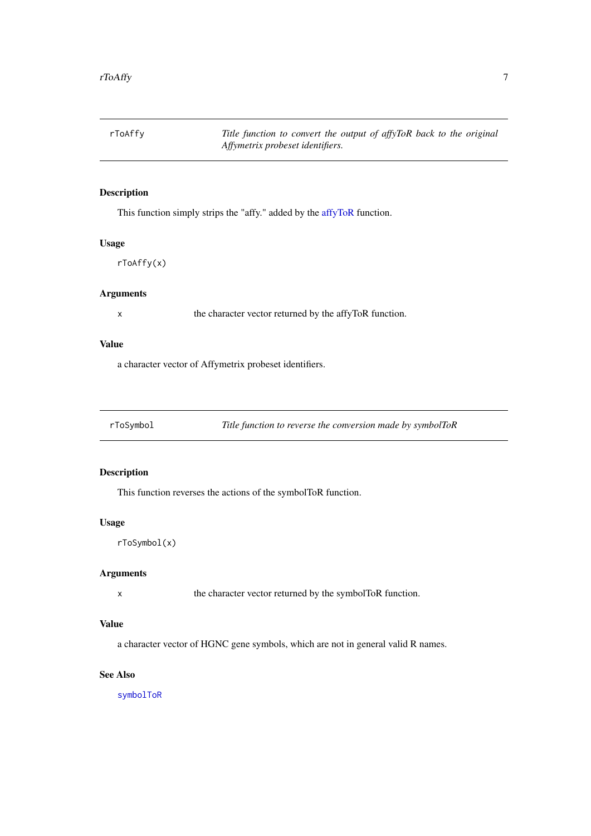<span id="page-6-1"></span><span id="page-6-0"></span>rToAffy *Title function to convert the output of affyToR back to the original Affymetrix probeset identifiers.*

## Description

This function simply strips the "affy." added by the [affyToR](#page-1-1) function.

## Usage

rToAffy(x)

## Arguments

x the character vector returned by the affyToR function.

## Value

a character vector of Affymetrix probeset identifiers.

<span id="page-6-2"></span>rToSymbol *Title function to reverse the conversion made by symbolToR*

## Description

This function reverses the actions of the symbolToR function.

#### Usage

rToSymbol(x)

## Arguments

x the character vector returned by the symbolToR function.

## Value

a character vector of HGNC gene symbols, which are not in general valid R names.

## See Also

[symbolToR](#page-7-1)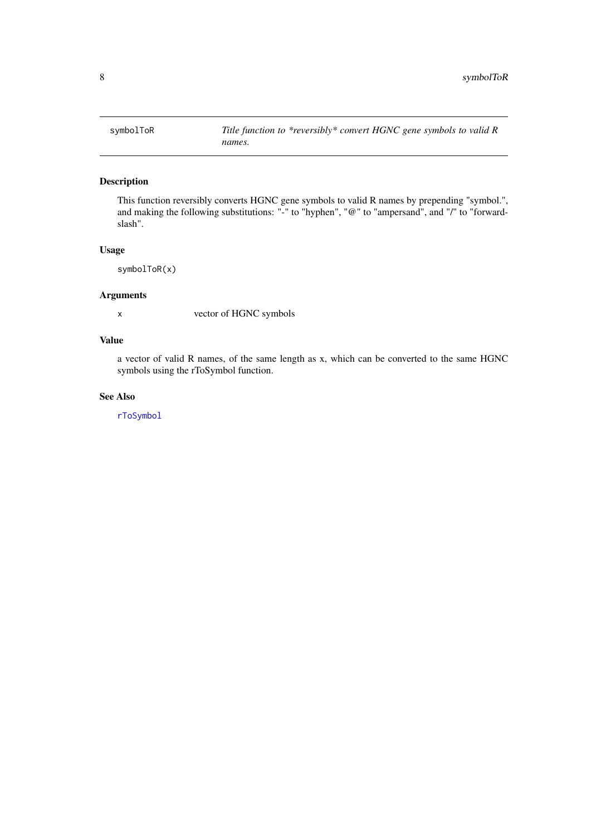<span id="page-7-1"></span><span id="page-7-0"></span>

## Description

This function reversibly converts HGNC gene symbols to valid R names by prepending "symbol.", and making the following substitutions: "-" to "hyphen", "@" to "ampersand", and "/" to "forwardslash".

## Usage

symbolToR(x)

## Arguments

x vector of HGNC symbols

## Value

a vector of valid R names, of the same length as x, which can be converted to the same HGNC symbols using the rToSymbol function.

## See Also

[rToSymbol](#page-6-2)